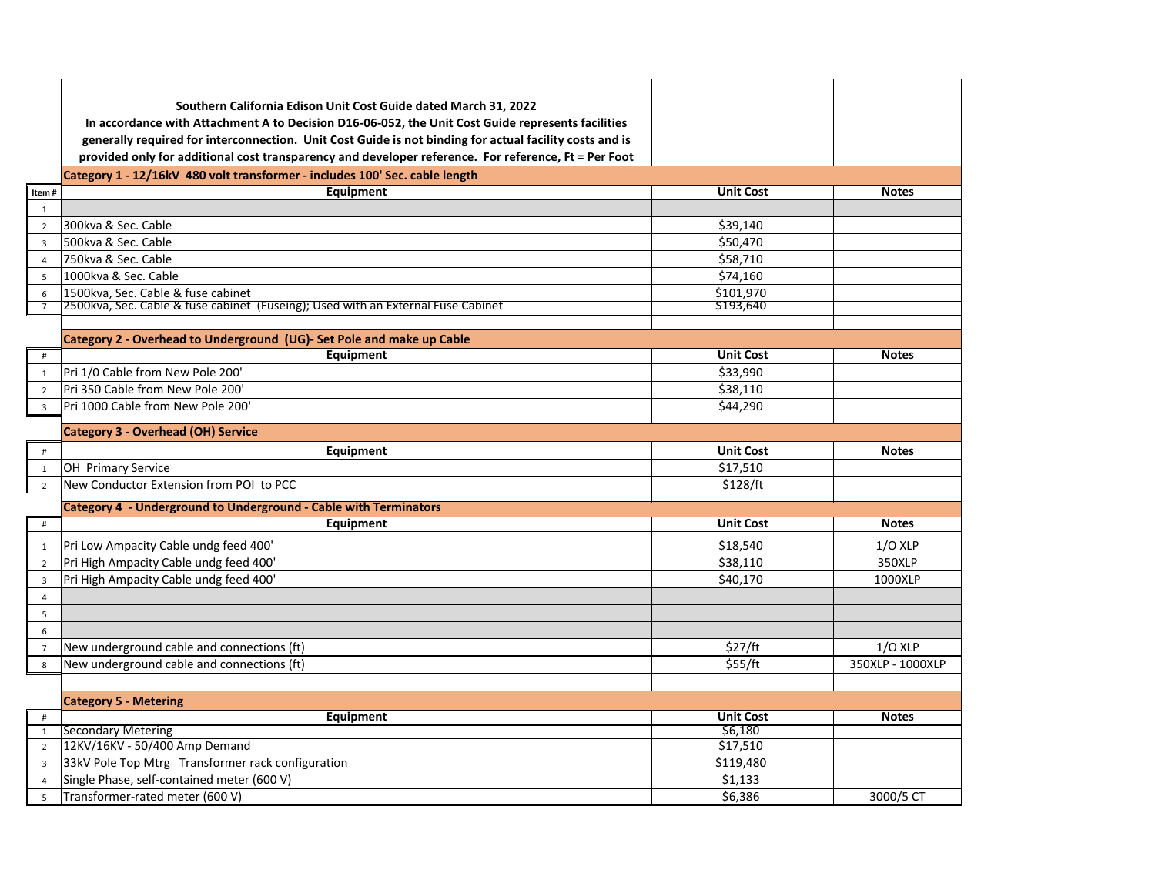|                | Southern California Edison Unit Cost Guide dated March 31, 2022<br>In accordance with Attachment A to Decision D16-06-052, the Unit Cost Guide represents facilities<br>generally required for interconnection. Unit Cost Guide is not binding for actual facility costs and is<br>provided only for additional cost transparency and developer reference. For reference, Ft = Per Foot |                      |                  |
|----------------|-----------------------------------------------------------------------------------------------------------------------------------------------------------------------------------------------------------------------------------------------------------------------------------------------------------------------------------------------------------------------------------------|----------------------|------------------|
|                | Category 1 - 12/16kV 480 volt transformer - includes 100' Sec. cable length                                                                                                                                                                                                                                                                                                             |                      |                  |
| Item#          | Equipment                                                                                                                                                                                                                                                                                                                                                                               | <b>Unit Cost</b>     | <b>Notes</b>     |
| $\mathbf{1}$   |                                                                                                                                                                                                                                                                                                                                                                                         |                      |                  |
| $\overline{2}$ | 300kva & Sec. Cable                                                                                                                                                                                                                                                                                                                                                                     | \$39,140             |                  |
| 3              | 500kva & Sec. Cable                                                                                                                                                                                                                                                                                                                                                                     | \$50,470             |                  |
| $\overline{4}$ | 750kva & Sec. Cable                                                                                                                                                                                                                                                                                                                                                                     | \$58.710             |                  |
| $5^{\circ}$    | 1000kva & Sec. Cable                                                                                                                                                                                                                                                                                                                                                                    | \$74,160             |                  |
| 6              | 1500kva, Sec. Cable & fuse cabinet                                                                                                                                                                                                                                                                                                                                                      | \$101,970            |                  |
| $\overline{7}$ | 2500kva, Sec. Cable & fuse cabinet (Fuseing); Used with an External Fuse Cabinet                                                                                                                                                                                                                                                                                                        | \$193,640            |                  |
|                |                                                                                                                                                                                                                                                                                                                                                                                         |                      |                  |
|                | Category 2 - Overhead to Underground (UG)- Set Pole and make up Cable                                                                                                                                                                                                                                                                                                                   |                      |                  |
| #              | Equipment                                                                                                                                                                                                                                                                                                                                                                               | <b>Unit Cost</b>     | <b>Notes</b>     |
| 1              | Pri 1/0 Cable from New Pole 200'                                                                                                                                                                                                                                                                                                                                                        | \$33,990             |                  |
| $\overline{2}$ | Pri 350 Cable from New Pole 200'<br>Pri 1000 Cable from New Pole 200'                                                                                                                                                                                                                                                                                                                   | \$38,110<br>\$44,290 |                  |
| $\overline{3}$ |                                                                                                                                                                                                                                                                                                                                                                                         |                      |                  |
|                | <b>Category 3 - Overhead (OH) Service</b>                                                                                                                                                                                                                                                                                                                                               |                      |                  |
| #              | Equipment                                                                                                                                                                                                                                                                                                                                                                               | <b>Unit Cost</b>     | <b>Notes</b>     |
| $\mathbf{1}$   | OH Primary Service                                                                                                                                                                                                                                                                                                                                                                      | \$17,510             |                  |
| $\overline{2}$ | New Conductor Extension from POI to PCC                                                                                                                                                                                                                                                                                                                                                 | \$128/ft             |                  |
|                | Category 4 - Underground to Underground - Cable with Terminators                                                                                                                                                                                                                                                                                                                        |                      |                  |
| $\#$           | Equipment                                                                                                                                                                                                                                                                                                                                                                               | <b>Unit Cost</b>     | <b>Notes</b>     |
| 1              | Pri Low Ampacity Cable undg feed 400'                                                                                                                                                                                                                                                                                                                                                   | \$18,540             | $1/O$ XLP        |
| $\overline{2}$ | Pri High Ampacity Cable undg feed 400'                                                                                                                                                                                                                                                                                                                                                  | \$38,110             | 350XLP           |
| 3              | Pri High Ampacity Cable undg feed 400'                                                                                                                                                                                                                                                                                                                                                  | \$40,170             | 1000XLP          |
| $\overline{4}$ |                                                                                                                                                                                                                                                                                                                                                                                         |                      |                  |
| 5              |                                                                                                                                                                                                                                                                                                                                                                                         |                      |                  |
| 6              |                                                                                                                                                                                                                                                                                                                                                                                         |                      |                  |
| $\overline{7}$ | New underground cable and connections (ft)                                                                                                                                                                                                                                                                                                                                              | \$27/ft              | $1/O$ XLP        |
| 8              | New underground cable and connections (ft)                                                                                                                                                                                                                                                                                                                                              | \$55/ft              | 350XLP - 1000XLP |
|                |                                                                                                                                                                                                                                                                                                                                                                                         |                      |                  |
|                | <b>Category 5 - Metering</b>                                                                                                                                                                                                                                                                                                                                                            |                      |                  |
| #              | Equipment                                                                                                                                                                                                                                                                                                                                                                               | <b>Unit Cost</b>     | <b>Notes</b>     |
| $\mathbf{1}$   | Secondary Metering                                                                                                                                                                                                                                                                                                                                                                      | \$6,180              |                  |
| $\overline{2}$ | 12KV/16KV - 50/400 Amp Demand                                                                                                                                                                                                                                                                                                                                                           | \$17,510             |                  |
| 3              | 33kV Pole Top Mtrg - Transformer rack configuration                                                                                                                                                                                                                                                                                                                                     | \$119,480            |                  |
| $\overline{4}$ | Single Phase, self-contained meter (600 V)                                                                                                                                                                                                                                                                                                                                              | \$1,133              |                  |
| 5              | Transformer-rated meter (600 V)                                                                                                                                                                                                                                                                                                                                                         | \$6,386              | 3000/5 CT        |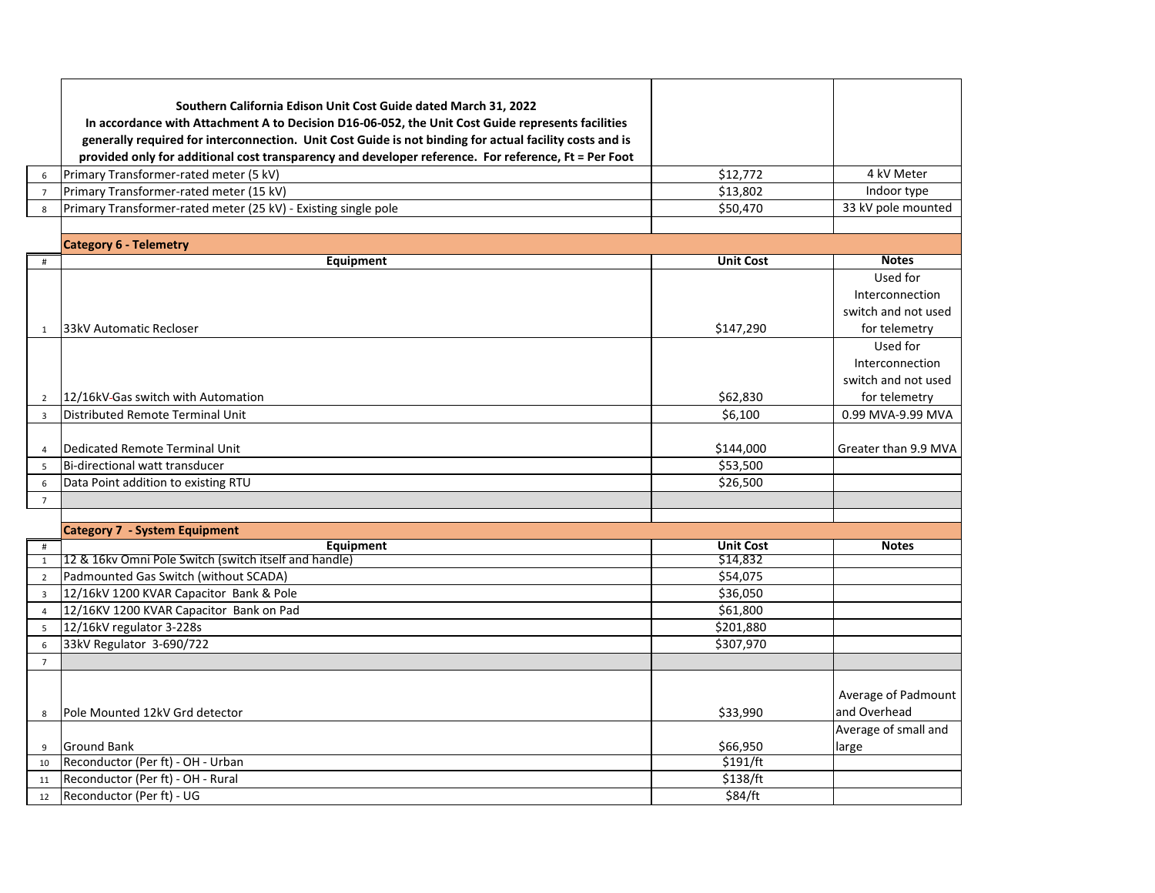|                 | Southern California Edison Unit Cost Guide dated March 31, 2022                                         |                  |                      |
|-----------------|---------------------------------------------------------------------------------------------------------|------------------|----------------------|
|                 | In accordance with Attachment A to Decision D16-06-052, the Unit Cost Guide represents facilities       |                  |                      |
|                 | generally required for interconnection. Unit Cost Guide is not binding for actual facility costs and is |                  |                      |
|                 | provided only for additional cost transparency and developer reference. For reference, Ft = Per Foot    |                  |                      |
| 6               | Primary Transformer-rated meter (5 kV)                                                                  | \$12,772         | 4 kV Meter           |
| $\overline{7}$  | Primary Transformer-rated meter (15 kV)                                                                 | \$13,802         | Indoor type          |
| 8               | Primary Transformer-rated meter (25 kV) - Existing single pole                                          | \$50,470         | 33 kV pole mounted   |
|                 |                                                                                                         |                  |                      |
|                 | <b>Category 6 - Telemetry</b>                                                                           |                  |                      |
| $\#$            | Equipment                                                                                               | <b>Unit Cost</b> | <b>Notes</b>         |
|                 |                                                                                                         |                  | Used for             |
|                 |                                                                                                         |                  | Interconnection      |
|                 |                                                                                                         |                  | switch and not used  |
| 1               | 133kV Automatic Recloser                                                                                | \$147,290        | for telemetry        |
|                 |                                                                                                         |                  | Used for             |
|                 |                                                                                                         |                  | Interconnection      |
|                 |                                                                                                         |                  | switch and not used  |
| $\overline{2}$  | 12/16kV-Gas switch with Automation                                                                      | \$62,830         | for telemetry        |
| $\overline{3}$  | Distributed Remote Terminal Unit                                                                        | \$6,100          | 0.99 MVA-9.99 MVA    |
|                 |                                                                                                         |                  |                      |
| 4               | Dedicated Remote Terminal Unit                                                                          | \$144,000        | Greater than 9.9 MVA |
| 5               | Bi-directional watt transducer                                                                          | \$53,500         |                      |
| 6               | Data Point addition to existing RTU                                                                     | \$26,500         |                      |
| $7\overline{ }$ |                                                                                                         |                  |                      |
|                 |                                                                                                         |                  |                      |
|                 | <b>Category 7 - System Equipment</b>                                                                    |                  |                      |
| $\#$            | Equipment                                                                                               | <b>Unit Cost</b> | <b>Notes</b>         |
| $\mathbf{1}$    | 12 & 16kv Omni Pole Switch (switch itself and handle)                                                   | \$14,832         |                      |
| $\overline{2}$  | Padmounted Gas Switch (without SCADA)                                                                   | \$54,075         |                      |
| $\overline{3}$  | 12/16kV 1200 KVAR Capacitor Bank & Pole                                                                 | \$36,050         |                      |
| $\overline{4}$  | 12/16KV 1200 KVAR Capacitor Bank on Pad                                                                 | \$61,800         |                      |
| 5               | 12/16kV regulator 3-228s                                                                                | \$201,880        |                      |
| 6               | 33kV Regulator 3-690/722                                                                                | \$307,970        |                      |
| $7\overline{ }$ |                                                                                                         |                  |                      |
|                 |                                                                                                         |                  |                      |
|                 |                                                                                                         |                  | Average of Padmount  |
| 8               | Pole Mounted 12kV Grd detector                                                                          | \$33,990         | and Overhead         |
|                 |                                                                                                         |                  | Average of small and |
| 9               | <b>Ground Bank</b>                                                                                      | \$66,950         | large                |
| 10              | Reconductor (Per ft) - OH - Urban                                                                       | \$191/ft         |                      |
| 11              | Reconductor (Per ft) - OH - Rural                                                                       | \$138/ft         |                      |
| 12              | Reconductor (Per ft) - UG                                                                               | \$84/ft          |                      |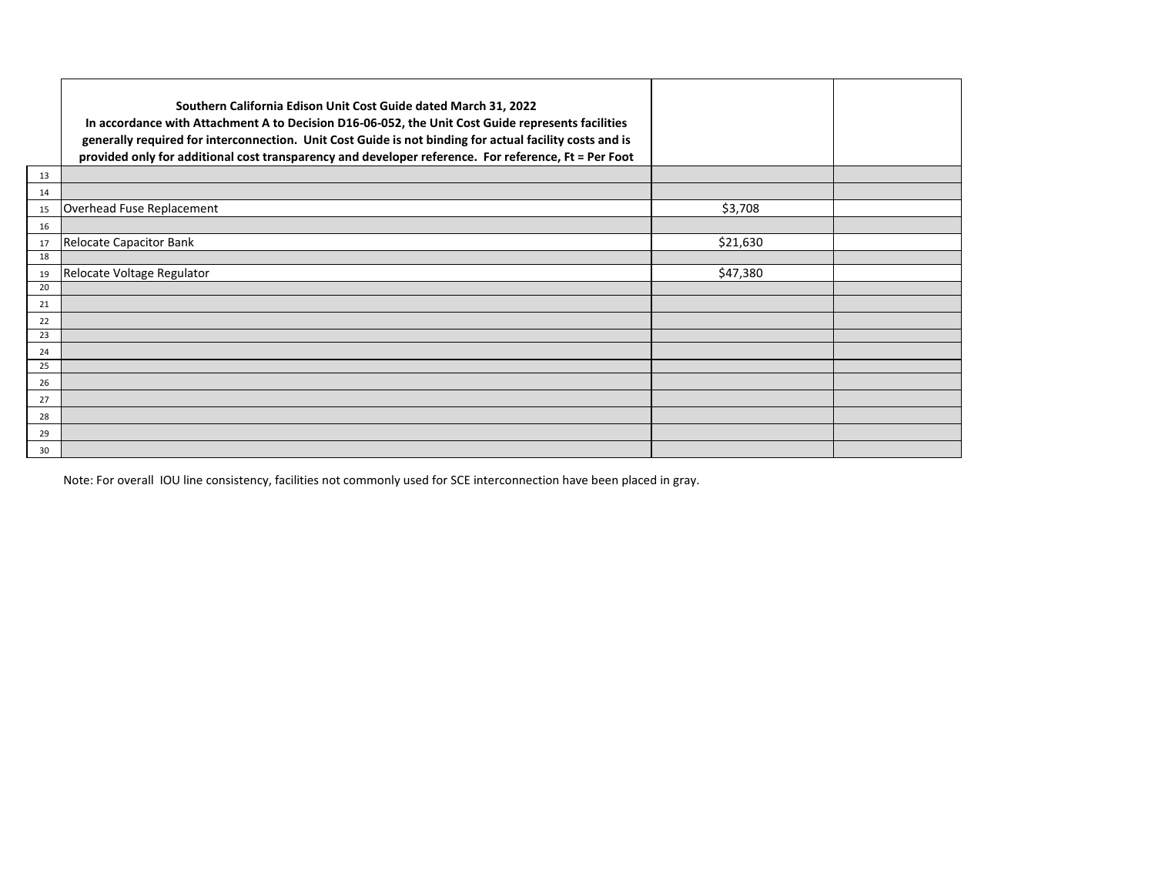|    | Southern California Edison Unit Cost Guide dated March 31, 2022<br>In accordance with Attachment A to Decision D16-06-052, the Unit Cost Guide represents facilities<br>generally required for interconnection. Unit Cost Guide is not binding for actual facility costs and is<br>provided only for additional cost transparency and developer reference. For reference, Ft = Per Foot |          |  |
|----|-----------------------------------------------------------------------------------------------------------------------------------------------------------------------------------------------------------------------------------------------------------------------------------------------------------------------------------------------------------------------------------------|----------|--|
| 13 |                                                                                                                                                                                                                                                                                                                                                                                         |          |  |
| 14 |                                                                                                                                                                                                                                                                                                                                                                                         |          |  |
| 15 | Overhead Fuse Replacement                                                                                                                                                                                                                                                                                                                                                               | \$3,708  |  |
| 16 |                                                                                                                                                                                                                                                                                                                                                                                         |          |  |
| 17 | <b>Relocate Capacitor Bank</b>                                                                                                                                                                                                                                                                                                                                                          | \$21,630 |  |
| 18 |                                                                                                                                                                                                                                                                                                                                                                                         |          |  |
| 19 | Relocate Voltage Regulator                                                                                                                                                                                                                                                                                                                                                              | \$47,380 |  |
| 20 |                                                                                                                                                                                                                                                                                                                                                                                         |          |  |
| 21 |                                                                                                                                                                                                                                                                                                                                                                                         |          |  |
| 22 |                                                                                                                                                                                                                                                                                                                                                                                         |          |  |
| 23 |                                                                                                                                                                                                                                                                                                                                                                                         |          |  |
| 24 |                                                                                                                                                                                                                                                                                                                                                                                         |          |  |
| 25 |                                                                                                                                                                                                                                                                                                                                                                                         |          |  |
| 26 |                                                                                                                                                                                                                                                                                                                                                                                         |          |  |
| 27 |                                                                                                                                                                                                                                                                                                                                                                                         |          |  |
| 28 |                                                                                                                                                                                                                                                                                                                                                                                         |          |  |
| 29 |                                                                                                                                                                                                                                                                                                                                                                                         |          |  |
| 30 |                                                                                                                                                                                                                                                                                                                                                                                         |          |  |

Note: For overall IOU line consistency, facilities not commonly used for SCE interconnection have been placed in gray.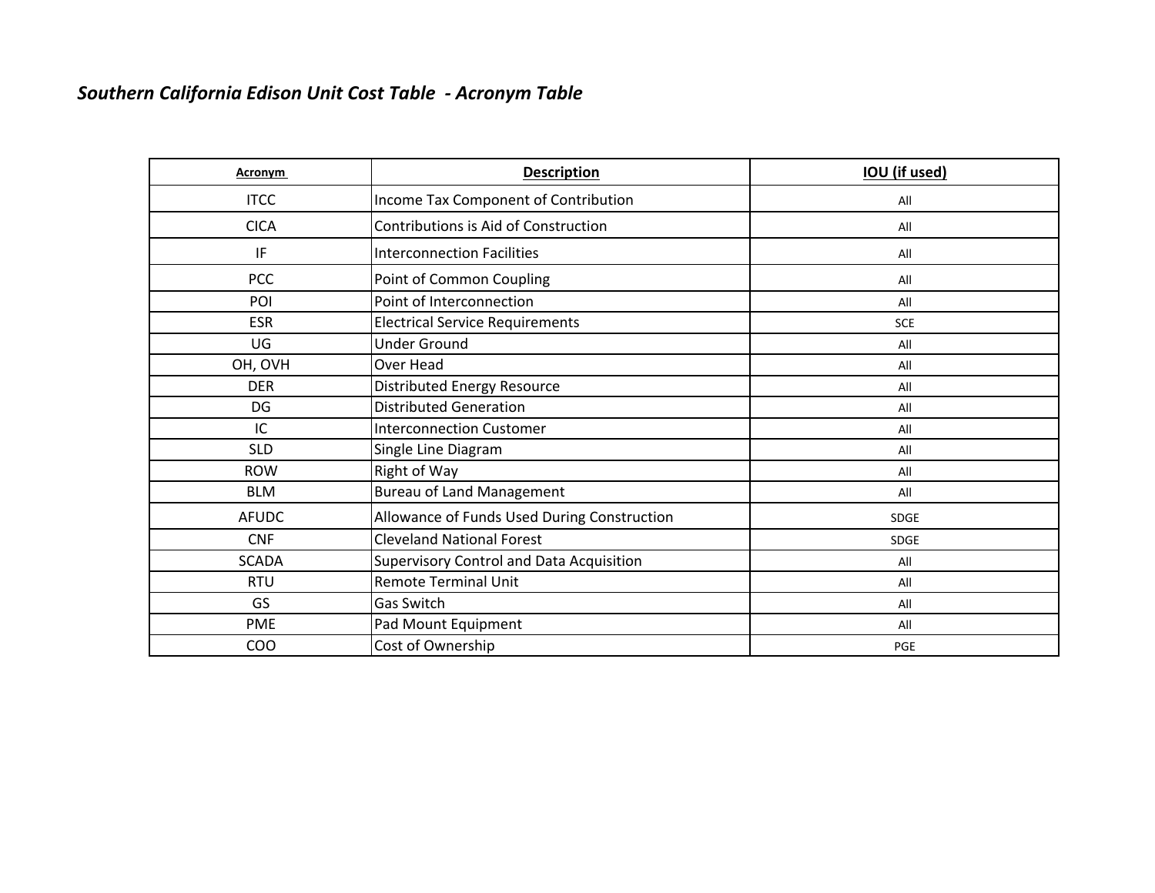# *Southern California Edison Unit Cost Table ‐ Acronym Table*

| Acronym      | <b>Description</b>                          | <b>IOU</b> (if used) |
|--------------|---------------------------------------------|----------------------|
| <b>ITCC</b>  | Income Tax Component of Contribution        | All                  |
| <b>CICA</b>  | Contributions is Aid of Construction        | All                  |
| IF           | <b>Interconnection Facilities</b>           | All                  |
| <b>PCC</b>   | Point of Common Coupling                    | All                  |
| POI          | Point of Interconnection                    | All                  |
| <b>ESR</b>   | <b>Electrical Service Requirements</b>      | <b>SCE</b>           |
| UG           | <b>Under Ground</b>                         | All                  |
| OH, OVH      | Over Head                                   | All                  |
| <b>DER</b>   | <b>Distributed Energy Resource</b>          | All                  |
| DG           | <b>Distributed Generation</b>               | All                  |
| IC           | <b>Interconnection Customer</b>             | All                  |
| <b>SLD</b>   | Single Line Diagram                         | All                  |
| <b>ROW</b>   | Right of Way                                | All                  |
| <b>BLM</b>   | <b>Bureau of Land Management</b>            | All                  |
| <b>AFUDC</b> | Allowance of Funds Used During Construction | <b>SDGE</b>          |
| <b>CNF</b>   | <b>Cleveland National Forest</b>            | <b>SDGE</b>          |
| <b>SCADA</b> | Supervisory Control and Data Acquisition    | All                  |
| <b>RTU</b>   | <b>Remote Terminal Unit</b>                 | All                  |
| GS           | Gas Switch                                  | All                  |
| <b>PME</b>   | Pad Mount Equipment                         | All                  |
| <b>COO</b>   | Cost of Ownership                           | PGE                  |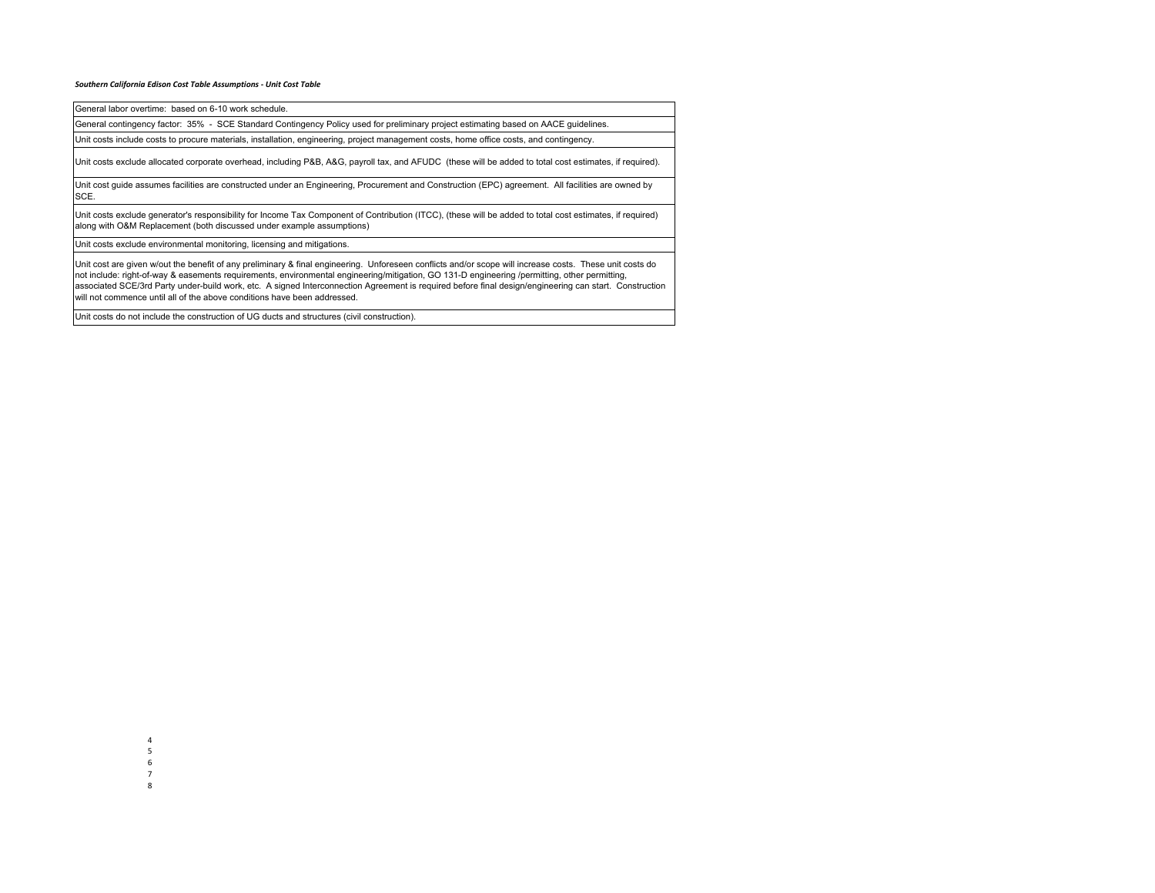#### *Southern California Edison Cost Table Assumptions ‐ Unit Cost Table*

General labor overtime: based on 6-10 work schedule.

General contingency factor: 35% - SCE Standard Contingency Policy used for preliminary project estimating based on AACE guidelines.

Unit costs include costs to procure materials, installation, engineering, project management costs, home office costs, and contingency.

Unit costs exclude allocated corporate overhead, including P&B, A&G, payroll tax, and AFUDC (these will be added to total cost estimates, if required).

Unit cost guide assumes facilities are constructed under an Engineering, Procurement and Construction (EPC) agreement. All facilities are owned by SCE.

Unit costs exclude generator's responsibility for Income Tax Component of Contribution (ITCC), (these will be added to total cost estimates, if required) along with O&M Replacement (both discussed under example assumptions)

Unit costs exclude environmental monitoring, licensing and mitigations.

Unit cost are given w/out the benefit of any preliminary & final engineering. Unforeseen conflicts and/or scope will increase costs. These unit costs do not include: right-of-way & easements requirements, environmental engineering/mitigation, GO 131-D engineering /permitting, other permitting, associated SCE/3rd Party under-build work, etc. A signed Interconnection Agreement is required before final design/engineering can start. Construction will not commence until all of the above conditions have been addressed.

Unit costs do not include the construction of UG ducts and structures (civil construction).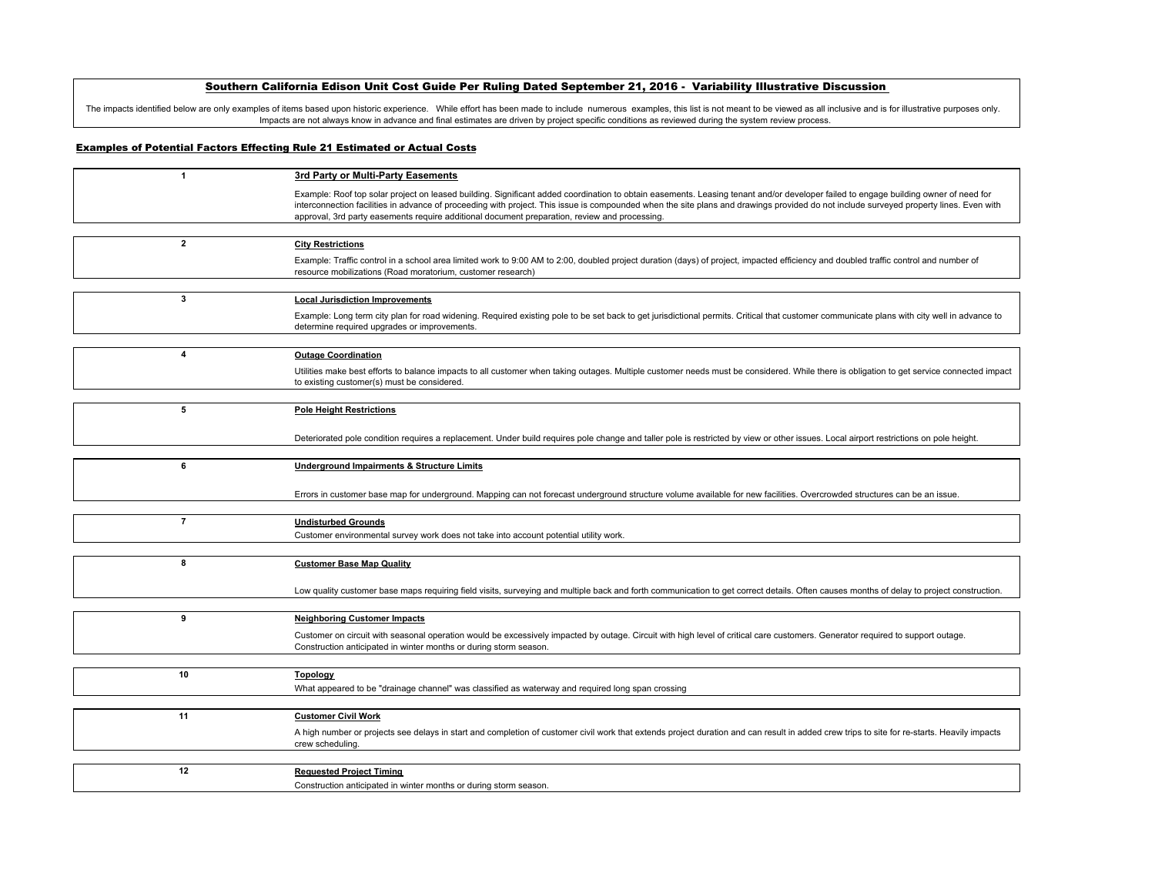# Southern California Edison Unit Cost Guide Per Ruling Dated September 21, 2016 - Variability Illustrative Discussion

The impacts identified below are only examples of items based upon historic experience. While effort has been made to include numerous examples, this list is not meant to be viewed as all inclusive and is for illustrative Impacts are not always know in advance and final estimates are driven by project specific conditions as reviewed during the system review process.

# Examples of Potential Factors Effecting Rule 21 Estimated or Actual Costs

| $\mathbf{1}$   | 3rd Party or Multi-Party Easements                                                                                                                                                                                                                                                                                                                                            |
|----------------|-------------------------------------------------------------------------------------------------------------------------------------------------------------------------------------------------------------------------------------------------------------------------------------------------------------------------------------------------------------------------------|
|                | Example: Roof top solar project on leased building. Significant added coordination to obtain easements. Leasing tenant and/or developer failed to engage building owner of need for<br>interconnection facilities in advance of proceeding with project. This issue is compounded when the site plans and drawings provided do not include surveyed property lines. Even with |
|                | approval, 3rd party easements require additional document preparation, review and processing.                                                                                                                                                                                                                                                                                 |
| $\overline{2}$ | <b>City Restrictions</b>                                                                                                                                                                                                                                                                                                                                                      |
|                | Example: Traffic control in a school area limited work to 9:00 AM to 2:00, doubled project duration (days) of project, impacted efficiency and doubled traffic control and number of<br>resource mobilizations (Road moratorium, customer research)                                                                                                                           |
|                |                                                                                                                                                                                                                                                                                                                                                                               |
| 3              | <b>Local Jurisdiction Improvements</b>                                                                                                                                                                                                                                                                                                                                        |
|                | Example: Long term city plan for road widening. Required existing pole to be set back to get jurisdictional permits. Critical that customer communicate plans with city well in advance to<br>determine required upgrades or improvements.                                                                                                                                    |
|                |                                                                                                                                                                                                                                                                                                                                                                               |
| 4              | <b>Outage Coordination</b>                                                                                                                                                                                                                                                                                                                                                    |
|                | Utilities make best efforts to balance impacts to all customer when taking outages. Multiple customer needs must be considered. While there is obligation to get service connected impact<br>to existing customer(s) must be considered.                                                                                                                                      |
|                |                                                                                                                                                                                                                                                                                                                                                                               |
| 5              | <b>Pole Height Restrictions</b>                                                                                                                                                                                                                                                                                                                                               |
|                | Deteriorated pole condition requires a replacement. Under build requires pole change and taller pole is restricted by view or other issues. Local airport restrictions on pole height.                                                                                                                                                                                        |
|                |                                                                                                                                                                                                                                                                                                                                                                               |
| 6              | <b>Underground Impairments &amp; Structure Limits</b>                                                                                                                                                                                                                                                                                                                         |
|                |                                                                                                                                                                                                                                                                                                                                                                               |
|                | Errors in customer base map for underground. Mapping can not forecast underground structure volume available for new facilities. Overcrowded structures can be an issue.                                                                                                                                                                                                      |
|                |                                                                                                                                                                                                                                                                                                                                                                               |
| $\overline{7}$ | <b>Undisturbed Grounds</b><br>Customer environmental survey work does not take into account potential utility work.                                                                                                                                                                                                                                                           |
|                |                                                                                                                                                                                                                                                                                                                                                                               |
| 8              | <b>Customer Base Map Quality</b>                                                                                                                                                                                                                                                                                                                                              |
|                |                                                                                                                                                                                                                                                                                                                                                                               |
|                | Low quality customer base maps requiring field visits, surveying and multiple back and forth communication to get correct details. Often causes months of delay to project construction.                                                                                                                                                                                      |
|                |                                                                                                                                                                                                                                                                                                                                                                               |
| 9              | <b>Neighboring Customer Impacts</b>                                                                                                                                                                                                                                                                                                                                           |
|                | Customer on circuit with seasonal operation would be excessively impacted by outage. Circuit with high level of critical care customers. Generator required to support outage.<br>Construction anticipated in winter months or during storm season.                                                                                                                           |
|                |                                                                                                                                                                                                                                                                                                                                                                               |
| 10             | <b>Topology</b>                                                                                                                                                                                                                                                                                                                                                               |
|                | What appeared to be "drainage channel" was classified as waterway and required long span crossing                                                                                                                                                                                                                                                                             |
| 11             | <b>Customer Civil Work</b>                                                                                                                                                                                                                                                                                                                                                    |
|                |                                                                                                                                                                                                                                                                                                                                                                               |
|                | A high number or projects see delays in start and completion of customer civil work that extends project duration and can result in added crew trips to site for re-starts. Heavily impacts<br>crew scheduling.                                                                                                                                                               |
|                |                                                                                                                                                                                                                                                                                                                                                                               |
| 12             | <b>Requested Project Timing</b>                                                                                                                                                                                                                                                                                                                                               |
|                | Construction anticipated in winter months or during storm season.                                                                                                                                                                                                                                                                                                             |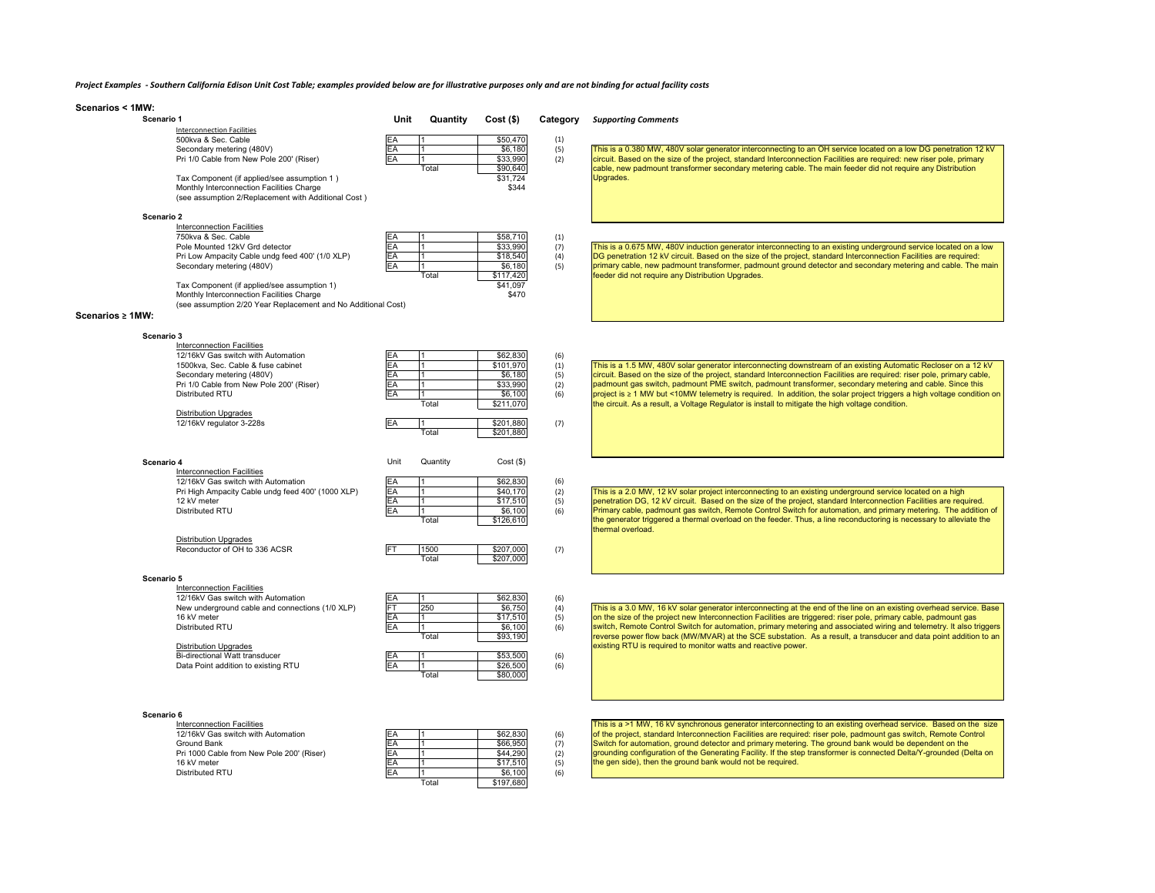# Project Examples - Southern California Edison Unit Cost Table; examples provided below are for illustrative purposes only and are not binding for actual facility costs

|  | Scenarios < 1MW: |  |  |  |
|--|------------------|--|--|--|
|--|------------------|--|--|--|

| Scenario 1             |                                                               | Unit      | Quantity       | $Cost($ \$) | Category | <b>Supporting Comments</b>                                                                                              |
|------------------------|---------------------------------------------------------------|-----------|----------------|-------------|----------|-------------------------------------------------------------------------------------------------------------------------|
|                        | <b>Interconnection Facilities</b>                             |           |                |             |          |                                                                                                                         |
|                        | 500kva & Sec. Cable                                           |           |                | \$50,470    | (1)      |                                                                                                                         |
|                        | Secondary metering (480V)                                     | EA        |                | \$6,180     | (5)      | This is a 0.380 MW, 480V solar generator interconnecting to an OH service located on a low DG penetration 12 kV         |
|                        | Pri 1/0 Cable from New Pole 200' (Riser)                      | EA        |                | \$33,990    | (2)      | circuit. Based on the size of the project, standard Interconnection Facilities are required: new riser pole, primary    |
|                        |                                                               |           | Total          | \$90,640    |          | cable, new padmount transformer secondary metering cable. The main feeder did not require any Distribution              |
|                        | Tax Component (if applied/see assumption 1)                   |           |                | \$31,724    |          | Upgrades.                                                                                                               |
|                        | Monthly Interconnection Facilities Charge                     |           |                | \$344       |          |                                                                                                                         |
|                        | (see assumption 2/Replacement with Additional Cost)           |           |                |             |          |                                                                                                                         |
|                        |                                                               |           |                |             |          |                                                                                                                         |
| Scenario 2             |                                                               |           |                |             |          |                                                                                                                         |
|                        | Interconnection Facilities                                    |           |                |             |          |                                                                                                                         |
|                        | 750kva & Sec. Cable                                           | EA        |                | \$58,710    | (1)      |                                                                                                                         |
|                        | Pole Mounted 12kV Grd detector                                | EA        | 11.            | \$33,990    | (7)      | This is a 0.675 MW, 480V induction generator interconnecting to an existing underground service located on a low        |
|                        | Pri Low Ampacity Cable undg feed 400' (1/0 XLP)               | EA        | 11.            | \$18,540    | (4)      | DG penetration 12 kV circuit. Based on the size of the project, standard Interconnection Facilities are required:       |
|                        | Secondary metering (480V)                                     | EA        | 11             | \$6,180     | (5)      | primary cable, new padmount transformer, padmount ground detector and secondary metering and cable. The main            |
|                        |                                                               |           | Total          | \$117,420   |          | feeder did not require any Distribution Upgrades.                                                                       |
|                        | Tax Component (if applied/see assumption 1)                   |           |                | \$41,097    |          |                                                                                                                         |
|                        | Monthly Interconnection Facilities Charge                     |           |                | \$470       |          |                                                                                                                         |
|                        | (see assumption 2/20 Year Replacement and No Additional Cost) |           |                |             |          |                                                                                                                         |
| Scenarios $\geq 1$ MW: |                                                               |           |                |             |          |                                                                                                                         |
|                        |                                                               |           |                |             |          |                                                                                                                         |
|                        |                                                               |           |                |             |          |                                                                                                                         |
| Scenario 3             |                                                               |           |                |             |          |                                                                                                                         |
|                        | Interconnection Facilities                                    |           |                |             |          |                                                                                                                         |
|                        | 12/16kV Gas switch with Automation                            |           |                | \$62,830    | (6)      |                                                                                                                         |
|                        | 1500kva, Sec. Cable & fuse cabinet                            | EA        | 11             | \$101,970   | (1)      | This is a 1.5 MW, 480V solar generator interconnecting downstream of an existing Automatic Recloser on a 12 kV          |
|                        | Secondary metering (480V)                                     | EA        | l 1            | \$6,180     | (5)      | circuit. Based on the size of the project, standard Interconnection Facilities are required: riser pole, primary cable, |
|                        | Pri 1/0 Cable from New Pole 200' (Riser)                      | EA        | 11             | \$33,990    | (2)      | padmount gas switch, padmount PME switch, padmount transformer, secondary metering and cable. Since this                |
|                        | Distributed RTU                                               | EA        | Ī1             | \$6,100     | (6)      | project is ≥ 1 MW but <10MW telemetry is required. In addition, the solar project triggers a high voltage condition on  |
|                        |                                                               |           | Total          | \$211,070   |          | the circuit. As a result, a Voltage Regulator is install to mitigate the high voltage condition.                        |
|                        | <b>Distribution Upgrades</b>                                  |           |                |             |          |                                                                                                                         |
|                        | 12/16kV regulator 3-228s                                      | EA        |                | \$201,880   | (7)      |                                                                                                                         |
|                        |                                                               |           | Total          | \$201,880   |          |                                                                                                                         |
|                        |                                                               |           |                |             |          |                                                                                                                         |
|                        |                                                               |           |                |             |          |                                                                                                                         |
| Scenario 4             |                                                               | Unit      | Quantity       | Cost(S)     |          |                                                                                                                         |
|                        | Interconnection Facilities                                    |           |                |             |          |                                                                                                                         |
|                        | 12/16kV Gas switch with Automation                            | EA        |                | \$62,830    | (6)      |                                                                                                                         |
|                        | Pri High Ampacity Cable undg feed 400' (1000 XLP)             | EA        |                | \$40,170    | (2)      | This is a 2.0 MW, 12 kV solar project interconnecting to an existing underground service located on a high              |
|                        | 12 kV meter                                                   | EA        | l 1            | \$17,510    | (5)      | penetration DG, 12 kV circuit. Based on the size of the project, standard Interconnection Facilities are required.      |
|                        | Distributed RTU                                               | EA        | 11             | \$6,100     | (6)      | Primary cable, padmount gas switch, Remote Control Switch for automation, and primary metering. The addition of         |
|                        |                                                               |           | Total          | \$126,610   |          | the generator triggered a thermal overload on the feeder. Thus, a line reconductoring is necessary to alleviate the     |
|                        |                                                               |           |                |             |          | thermal overload.                                                                                                       |
|                        | <b>Distribution Upgrades</b>                                  |           |                |             |          |                                                                                                                         |
|                        | Reconductor of OH to 336 ACSR                                 | FT        | 1500           | \$207,000   | (7)      |                                                                                                                         |
|                        |                                                               |           | Total          | \$207,000   |          |                                                                                                                         |
|                        |                                                               |           |                |             |          |                                                                                                                         |
| Scenario 5             |                                                               |           |                |             |          |                                                                                                                         |
|                        | Interconnection Facilities                                    |           |                |             |          |                                                                                                                         |
|                        | 12/16kV Gas switch with Automation                            | EA        |                | \$62,830    | (6)      |                                                                                                                         |
|                        | New underground cable and connections (1/0 XLP)               | <b>FT</b> | 250            | \$6,750     | (4)      | This is a 3.0 MW, 16 kV solar generator interconnecting at the end of the line on an existing overhead service. Base    |
|                        | 16 kV meter                                                   | EA        | l 1            | \$17,510    | (5)      | on the size of the project new Interconnection Facilities are triggered: riser pole, primary cable, padmount gas        |
|                        | Distributed RTU                                               | EA        |                | \$6,100     | (6)      | switch, Remote Control Switch for automation, primary metering and associated wiring and telemetry. It also triggers    |
|                        |                                                               |           | Total          | \$93,190    |          | reverse power flow back (MW/MVAR) at the SCE substation. As a result, a transducer and data point addition to an        |
|                        | <b>Distribution Upgrades</b>                                  |           |                |             |          | existing RTU is required to monitor watts and reactive power.                                                           |
|                        | Bi-directional Watt transducer                                | EA        |                | \$53,500    | (6)      |                                                                                                                         |
|                        | Data Point addition to existing RTU                           | EA        | 11.            | \$26,500    | (6)      |                                                                                                                         |
|                        |                                                               |           | Total          | \$80,000    |          |                                                                                                                         |
|                        |                                                               |           |                |             |          |                                                                                                                         |
|                        |                                                               |           |                |             |          |                                                                                                                         |
|                        |                                                               |           |                |             |          |                                                                                                                         |
| Scenario 6             |                                                               |           |                |             |          |                                                                                                                         |
|                        | Interconnection Facilities                                    |           |                |             |          | This is a >1 MW, 16 kV synchronous generator interconnecting to an existing overhead service. Based on the size         |
|                        | 12/16kV Gas switch with Automation                            | EA        |                | \$62,830    | (6)      | of the project, standard Interconnection Facilities are required: riser pole, padmount gas switch, Remote Control       |
|                        | Ground Bank                                                   | EA        | 11             | \$66,950    | (7)      | Switch for automation, ground detector and primary metering. The ground bank would be dependent on the                  |
|                        | Pri 1000 Cable from New Pole 200' (Riser)                     | EA        | 11             | \$44,290    | (2)      | grounding configuration of the Generating Facility. If the step transformer is connected Delta/Y-grounded (Delta on     |
|                        | 16 kV meter                                                   | EA        | $\overline{1}$ | \$17,510    | (5)      | the gen side), then the ground bank would not be required.                                                              |
|                        | Distributed RTU                                               | EA        | 11             | \$6,100     | (6)      |                                                                                                                         |
|                        |                                                               |           | Total          | \$197,680   |          |                                                                                                                         |
|                        |                                                               |           |                |             |          |                                                                                                                         |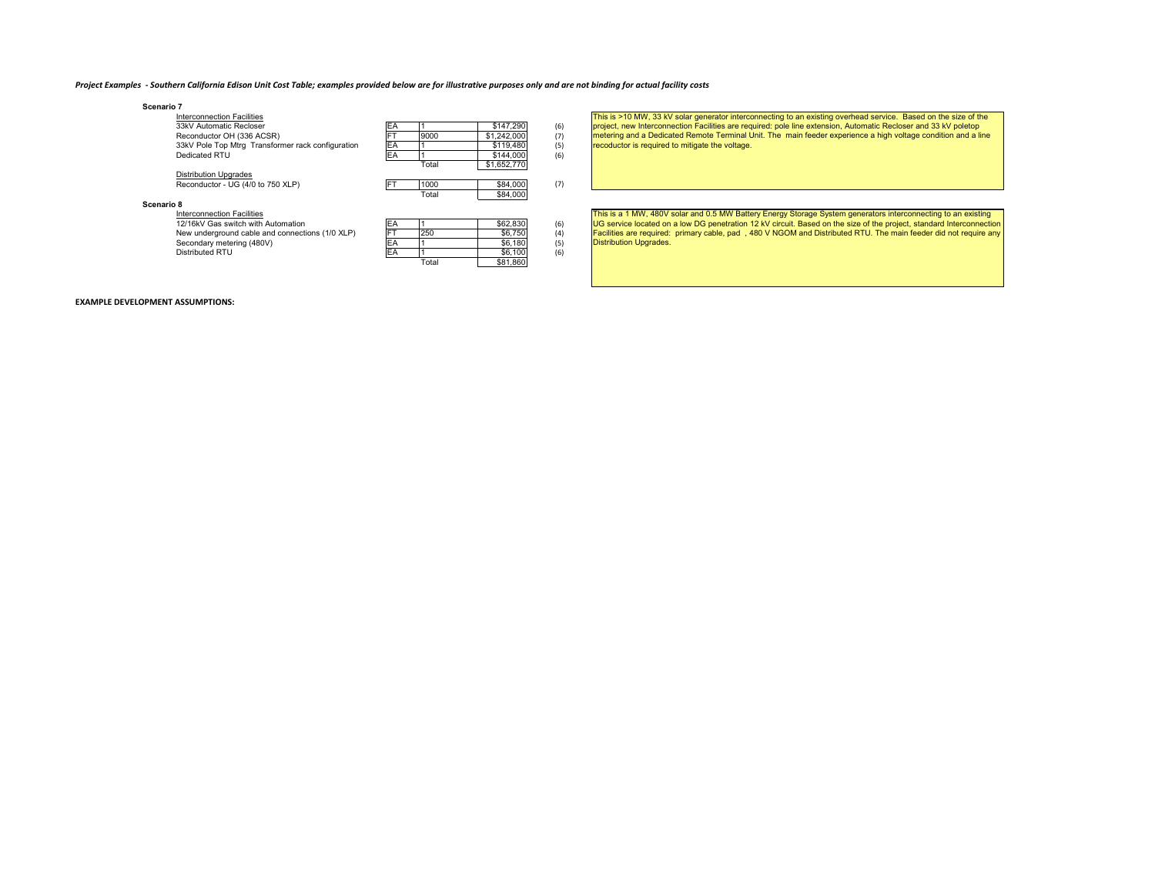#### Project Examples - Southern California Edison Unit Cost Table; examples provided below are for illustrative purposes only and are not binding for actual facility costs

Total \$81,860

| Scenario 7                                        |           |       |             |     |
|---------------------------------------------------|-----------|-------|-------------|-----|
| <b>Interconnection Facilities</b>                 |           |       |             |     |
| 33kV Automatic Recloser                           | EA        |       | \$147.290   | (6) |
| Reconductor OH (336 ACSR)                         | <b>FT</b> | 9000  | \$1,242,000 | (7) |
| 33kV Pole Top Mtrg Transformer rack configuration | EA        |       | \$119,480   | (5) |
| Dedicated RTU                                     | EA        |       | \$144,000   | (6) |
|                                                   |           | Total | \$1,652,770 |     |
| <b>Distribution Upgrades</b>                      |           |       |             |     |
| Reconductor - UG (4/0 to 750 XLP)                 | <b>FT</b> | 1000  | \$84,000    | (7) |
|                                                   |           | Total | \$84,000    |     |
| Scenario 8                                        |           |       |             |     |
| <b>Interconnection Facilities</b>                 |           |       |             |     |
| 12/16kV Gas switch with Automation                | EA        |       | \$62,830    | (6) |
| New underground cable and connections (1/0 XLP)   | <b>FT</b> | 250   | \$6,750     | (4) |
| Secondary metering (480V)                         | EA        |       | \$6,180     | (5) |
| Distributed RTU                                   | EA        |       | \$6,100     | (6) |

This is >10 MW, 33 kV solar generator interconnecting to an existing overhead service. Based on the size of the project, new Interconnection Facilities are required: pole line extension, Automatic Recloser and 33 kV poletop<br>metering and a Dedicated Remote Terminal Unit. The main feeder experience a high voltage condition and a line recoductor is required to mitigate the voltage.

This is a 1 MW, 480V solar and 0.5 MW Battery Energy Storage System generators interconnecting to an existing<br>UG service located on a low DG penetration 12 kV circuit. Based on the size of the project, standard Interconnec Facilities are required: primary cable, pad , 480 V NGOM and Distributed RTU. The main feeder did not require any Distribution Upgrades.

#### **EXAMPLE DEVELOPMENT ASSUMPTIONS:**